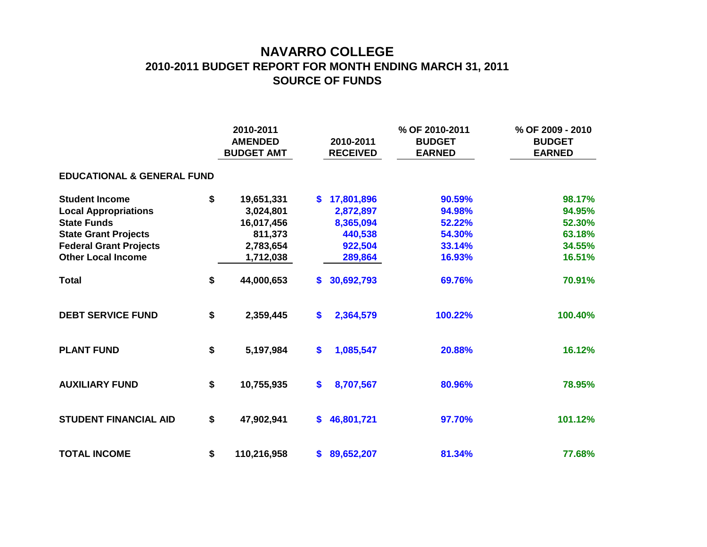## **NAVARRO COLLEGE 2010-2011 BUDGET REPORT FOR MONTH ENDING MARCH 31, 2011 SOURCE OF FUNDS**

|                                       |    | 2010-2011<br><b>AMENDED</b><br><b>BUDGET AMT</b> |    | 2010-2011<br><b>RECEIVED</b> | % OF 2010-2011<br><b>BUDGET</b><br><b>EARNED</b> | % OF 2009 - 2010<br><b>BUDGET</b><br><b>EARNED</b> |  |  |  |  |  |  |  |
|---------------------------------------|----|--------------------------------------------------|----|------------------------------|--------------------------------------------------|----------------------------------------------------|--|--|--|--|--|--|--|
| <b>EDUCATIONAL &amp; GENERAL FUND</b> |    |                                                  |    |                              |                                                  |                                                    |  |  |  |  |  |  |  |
| <b>Student Income</b>                 | \$ | 19,651,331                                       | \$ | 17,801,896                   | 90.59%                                           | 98.17%                                             |  |  |  |  |  |  |  |
| <b>Local Appropriations</b>           |    | 3,024,801                                        |    | 2,872,897                    | 94.98%                                           | 94.95%                                             |  |  |  |  |  |  |  |
| <b>State Funds</b>                    |    | 16,017,456                                       |    | 8,365,094                    | 52.22%                                           | 52.30%                                             |  |  |  |  |  |  |  |
| <b>State Grant Projects</b>           |    | 811,373                                          |    | 440,538                      | 54.30%                                           | 63.18%                                             |  |  |  |  |  |  |  |
| <b>Federal Grant Projects</b>         |    | 2,783,654                                        |    | 922,504                      | 33.14%                                           | 34.55%                                             |  |  |  |  |  |  |  |
| <b>Other Local Income</b>             |    | 1,712,038                                        |    | 289,864                      | 16.93%                                           | 16.51%                                             |  |  |  |  |  |  |  |
| <b>Total</b>                          | \$ | 44,000,653                                       | \$ | 30,692,793                   | 69.76%                                           | 70.91%                                             |  |  |  |  |  |  |  |
| <b>DEBT SERVICE FUND</b>              | \$ | 2,359,445                                        | \$ | 2,364,579                    | 100.22%                                          | 100.40%                                            |  |  |  |  |  |  |  |
| <b>PLANT FUND</b>                     | \$ | 5,197,984                                        | \$ | 1,085,547                    | 20.88%                                           | 16.12%                                             |  |  |  |  |  |  |  |
| <b>AUXILIARY FUND</b>                 | \$ | 10,755,935                                       | \$ | 8,707,567                    | 80.96%                                           | 78.95%                                             |  |  |  |  |  |  |  |
| <b>STUDENT FINANCIAL AID</b>          | \$ | 47,902,941                                       | \$ | 46,801,721                   | 97.70%                                           | 101.12%                                            |  |  |  |  |  |  |  |
| <b>TOTAL INCOME</b>                   | \$ | 110,216,958                                      | \$ | 89,652,207                   | 81.34%                                           | 77.68%                                             |  |  |  |  |  |  |  |